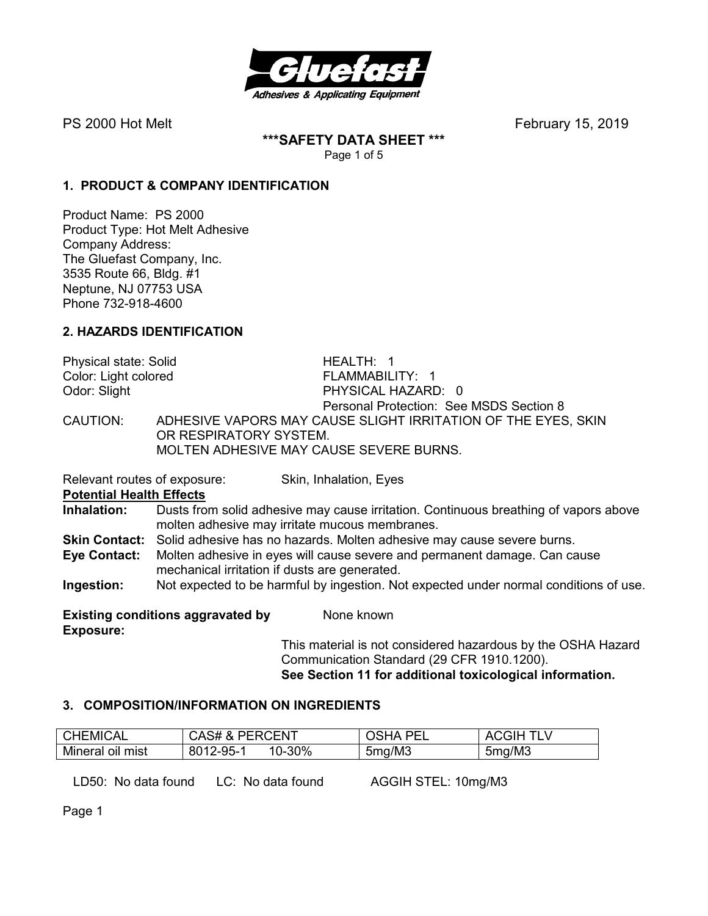

PS 2000 Hot MeltFebruary 15, 2019

**\*\*\*SAFETY DATA SHEET \*\*\***  Page 1 of 5

#### **1. PRODUCT & COMPANY IDENTIFICATION**

Product Name: PS 2000 Product Type: Hot Melt Adhesive Company Address: The Gluefast Company, Inc. 3535 Route 66, Bldg. #1 Neptune, NJ 07753 USA Phone 732-918-4600

#### **2. HAZARDS IDENTIFICATION**

Physical state: Solid HEALTH: 1 Color: Light colored FLAMMABILITY: 1 Odor: Slight PHYSICAL HAZARD: 0 Personal Protection: See MSDS Section 8<br>CAUTION: ADHESIVE VAPORS MAY CAUSE SLIGHT IRRITATION OF THE EYES ADHESIVE VAPORS MAY CAUSE SLIGHT IRRITATION OF THE EYES, SKIN OR RESPIRATORY SYSTEM. MOLTEN ADHESIVE MAY CAUSE SEVERE BURNS.

Relevant routes of exposure: Skin, Inhalation, Eyes

**Potential Health Effects** 

**Inhalation:** Dusts from solid adhesive may cause irritation. Continuous breathing of vapors above molten adhesive may irritate mucous membranes.

Skin Contact: Solid adhesive has no hazards. Molten adhesive may cause severe burns.

**Eye Contact:** Molten adhesive in eyes will cause severe and permanent damage. Can cause mechanical irritation if dusts are generated.

**Ingestion:** Not expected to be harmful by ingestion. Not expected under normal conditions of use.

**Existing conditions aggravated by Some known Exposure:** 

This material is not considered hazardous by the OSHA Hazard Communication Standard (29 CFR 1910.1200). **See Section 11 for additional toxicological information.** 

## **3. COMPOSITION/INFORMATION ON INGREDIENTS**

| <b>IICAL</b><br>·MI | <b>PFRCFNT</b><br>⊶GA∪<br>$\alpha$                     | DE.<br>10   | ΔΙ         |
|---------------------|--------------------------------------------------------|-------------|------------|
| Mineral<br>oil mist | 30%<br>$^{\circ}$ -95-<br>$\sim$<br>оι<br>. U-<br>- JU | ı/M3<br>5ma | mg/M3<br>n |

LD50: No data found LC: No data found AGGIH STEL: 10mg/M3

Page 1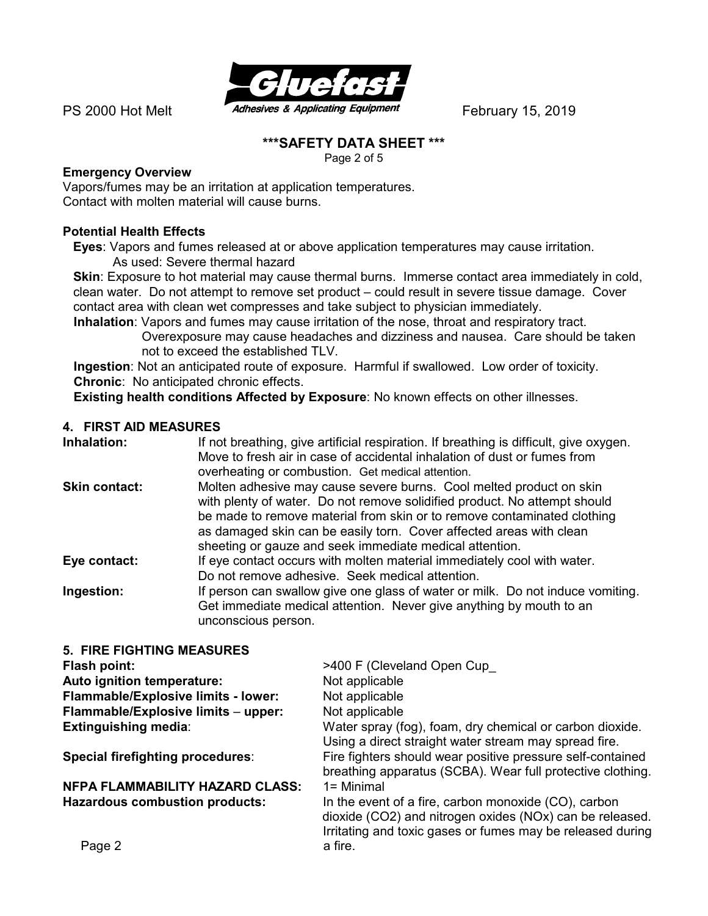

#### **\*\*\*SAFETY DATA SHEET \*\*\***

Page 2 of 5

#### **Emergency Overview**

Vapors/fumes may be an irritation at application temperatures. Contact with molten material will cause burns.

## **Potential Health Effects**

**Eyes**: Vapors and fumes released at or above application temperatures may cause irritation. As used: Severe thermal hazard

**Skin**: Exposure to hot material may cause thermal burns. Immerse contact area immediately in cold, clean water. Do not attempt to remove set product – could result in severe tissue damage. Cover contact area with clean wet compresses and take subject to physician immediately.

 **Inhalation**: Vapors and fumes may cause irritation of the nose, throat and respiratory tract. Overexposure may cause headaches and dizziness and nausea. Care should be taken not to exceed the established TLV.

 **Ingestion**: Not an anticipated route of exposure. Harmful if swallowed. Low order of toxicity. **Chronic**: No anticipated chronic effects.

**Existing health conditions Affected by Exposure**: No known effects on other illnesses.

#### **4. FIRST AID MEASURES**

| Inhalation:          | If not breathing, give artificial respiration. If breathing is difficult, give oxygen.<br>Move to fresh air in case of accidental inhalation of dust or fumes from<br>overheating or combustion. Get medical attention.                                                                                                                                       |
|----------------------|---------------------------------------------------------------------------------------------------------------------------------------------------------------------------------------------------------------------------------------------------------------------------------------------------------------------------------------------------------------|
| <b>Skin contact:</b> | Molten adhesive may cause severe burns. Cool melted product on skin<br>with plenty of water. Do not remove solidified product. No attempt should<br>be made to remove material from skin or to remove contaminated clothing<br>as damaged skin can be easily torn. Cover affected areas with clean<br>sheeting or gauze and seek immediate medical attention. |
| Eye contact:         | If eye contact occurs with molten material immediately cool with water.<br>Do not remove adhesive. Seek medical attention.                                                                                                                                                                                                                                    |
| Ingestion:           | If person can swallow give one glass of water or milk. Do not induce vomiting.<br>Get immediate medical attention. Never give anything by mouth to an<br>unconscious person.                                                                                                                                                                                  |

| <b>5. FIRE FIGHTING MEASURES</b>        |                                                            |
|-----------------------------------------|------------------------------------------------------------|
| Flash point:                            | >400 F (Cleveland Open Cup                                 |
| Auto ignition temperature:              | Not applicable                                             |
| Flammable/Explosive limits - lower:     | Not applicable                                             |
| Flammable/Explosive limits - upper:     | Not applicable                                             |
| <b>Extinguishing media:</b>             | Water spray (fog), foam, dry chemical or carbon dioxide.   |
|                                         | Using a direct straight water stream may spread fire.      |
| <b>Special firefighting procedures:</b> | Fire fighters should wear positive pressure self-contained |
|                                         | breathing apparatus (SCBA). Wear full protective clothing. |
| <b>NFPA FLAMMABILITY HAZARD CLASS:</b>  | $1 =$ Minimal                                              |
| <b>Hazardous combustion products:</b>   | In the event of a fire, carbon monoxide (CO), carbon       |
|                                         | dioxide (CO2) and nitrogen oxides (NOx) can be released.   |
|                                         | Irritating and toxic gases or fumes may be released during |
| Page 2                                  | a fire.                                                    |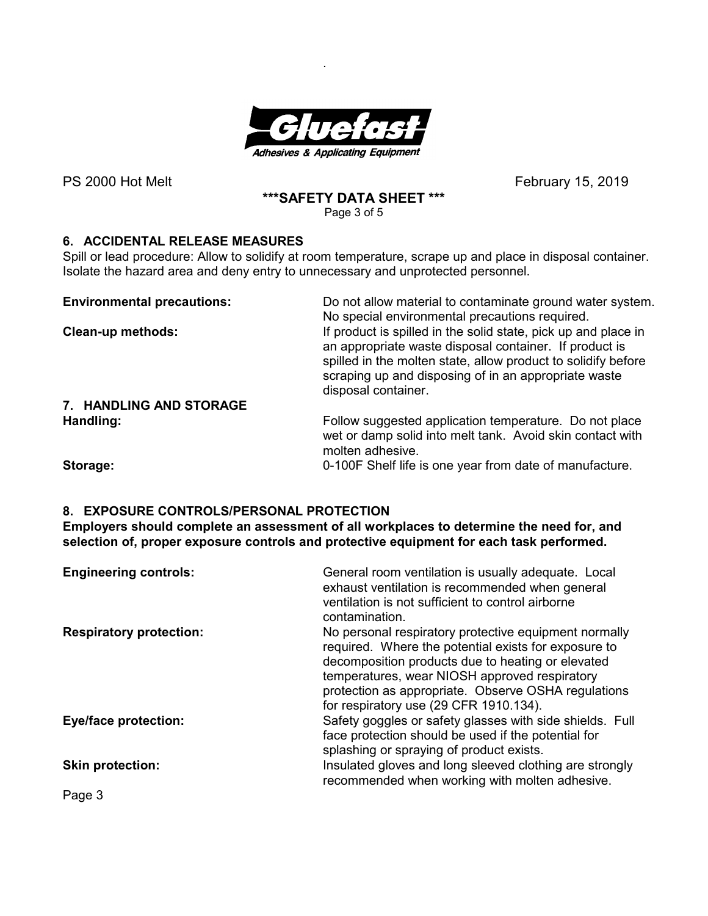

.

PS 2000 Hot Melt
February 15, 2019

# **\*\*\*SAFETY DATA SHEET \*\*\***

Page 3 of 5

## **6. ACCIDENTAL RELEASE MEASURES**

Spill or lead procedure: Allow to solidify at room temperature, scrape up and place in disposal container. Isolate the hazard area and deny entry to unnecessary and unprotected personnel.

| <b>Environmental precautions:</b> | Do not allow material to contaminate ground water system.                                                                                                                                                                                                                |
|-----------------------------------|--------------------------------------------------------------------------------------------------------------------------------------------------------------------------------------------------------------------------------------------------------------------------|
|                                   | No special environmental precautions required.                                                                                                                                                                                                                           |
| <b>Clean-up methods:</b>          | If product is spilled in the solid state, pick up and place in<br>an appropriate waste disposal container. If product is<br>spilled in the molten state, allow product to solidify before<br>scraping up and disposing of in an appropriate waste<br>disposal container. |
| 7. HANDLING AND STORAGE           |                                                                                                                                                                                                                                                                          |
| Handling:                         | Follow suggested application temperature. Do not place<br>wet or damp solid into melt tank. Avoid skin contact with<br>molten adhesive.                                                                                                                                  |
| Storage:                          | 0-100F Shelf life is one year from date of manufacture.                                                                                                                                                                                                                  |

## **8. EXPOSURE CONTROLS/PERSONAL PROTECTION**

**Employers should complete an assessment of all workplaces to determine the need for, and selection of, proper exposure controls and protective equipment for each task performed.** 

| <b>Engineering controls:</b>   | General room ventilation is usually adequate. Local<br>exhaust ventilation is recommended when general<br>ventilation is not sufficient to control airborne<br>contamination.                                                                                                                                        |
|--------------------------------|----------------------------------------------------------------------------------------------------------------------------------------------------------------------------------------------------------------------------------------------------------------------------------------------------------------------|
| <b>Respiratory protection:</b> | No personal respiratory protective equipment normally<br>required. Where the potential exists for exposure to<br>decomposition products due to heating or elevated<br>temperatures, wear NIOSH approved respiratory<br>protection as appropriate. Observe OSHA regulations<br>for respiratory use (29 CFR 1910.134). |
| <b>Eye/face protection:</b>    | Safety goggles or safety glasses with side shields. Full<br>face protection should be used if the potential for<br>splashing or spraying of product exists.                                                                                                                                                          |
| <b>Skin protection:</b>        | Insulated gloves and long sleeved clothing are strongly<br>recommended when working with molten adhesive.                                                                                                                                                                                                            |
| Page 3                         |                                                                                                                                                                                                                                                                                                                      |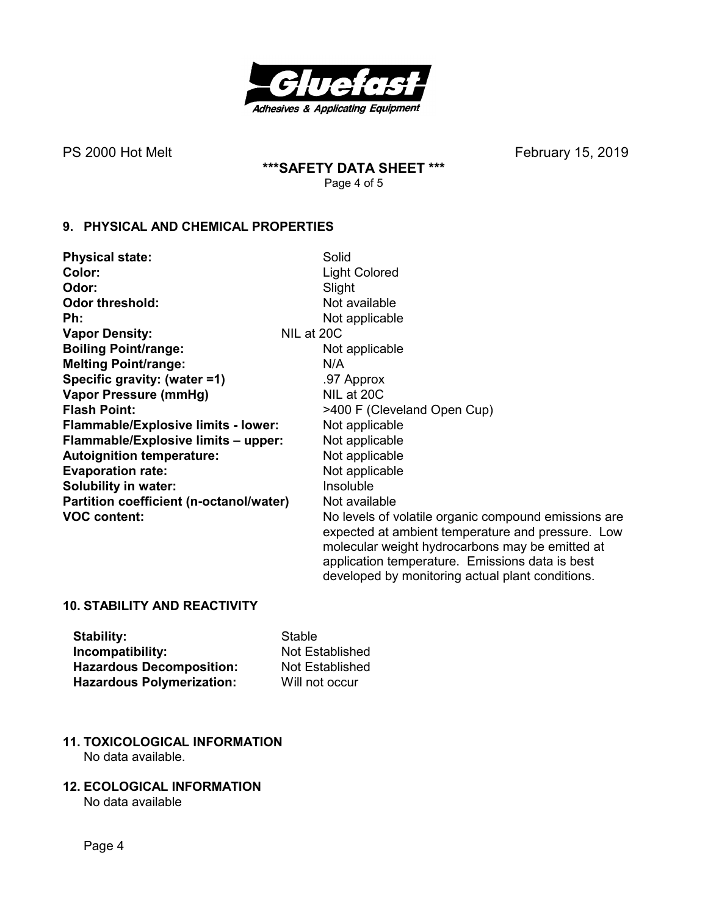

PS 2000 Hot Melt
February 15, 2019

# **\*\*\*SAFETY DATA SHEET \*\*\***

Page 4 of 5

#### **9. PHYSICAL AND CHEMICAL PROPERTIES**

| <b>Physical state:</b>                     | Solid                                                |
|--------------------------------------------|------------------------------------------------------|
| Color:                                     | <b>Light Colored</b>                                 |
| Odor:                                      | Slight                                               |
| <b>Odor threshold:</b>                     | Not available                                        |
| Ph:                                        | Not applicable                                       |
| <b>Vapor Density:</b>                      | NIL at 20C                                           |
| <b>Boiling Point/range:</b>                | Not applicable                                       |
| <b>Melting Point/range:</b>                | N/A                                                  |
| Specific gravity: (water =1)               | .97 Approx                                           |
| Vapor Pressure (mmHg)                      | NIL at 20C                                           |
| <b>Flash Point:</b>                        | >400 F (Cleveland Open Cup)                          |
| <b>Flammable/Explosive limits - lower:</b> | Not applicable                                       |
| Flammable/Explosive limits - upper:        | Not applicable                                       |
| <b>Autoignition temperature:</b>           | Not applicable                                       |
| <b>Evaporation rate:</b>                   | Not applicable                                       |
| <b>Solubility in water:</b>                | Insoluble                                            |
| Partition coefficient (n-octanol/water)    | Not available                                        |
| <b>VOC content:</b>                        | No levels of volatile organic compound emissions are |
|                                            | expected at ambient temperature and pressure. Low    |
|                                            | molecular weight hydrocarbons may be emitted at      |
|                                            | application temperature. Emissions data is best      |

#### **10. STABILITY AND REACTIVITY**

| <b>Stability:</b>                |
|----------------------------------|
| Incompatibility:                 |
| <b>Hazardous Decomposition:</b>  |
| <b>Hazardous Polymerization:</b> |

**Stable Not Established Not Established Will not occur** 

developed by monitoring actual plant conditions.

- **11. TOXICOLOGICAL INFORMATION**  No data available.
- **12. ECOLOGICAL INFORMATION**  No data available